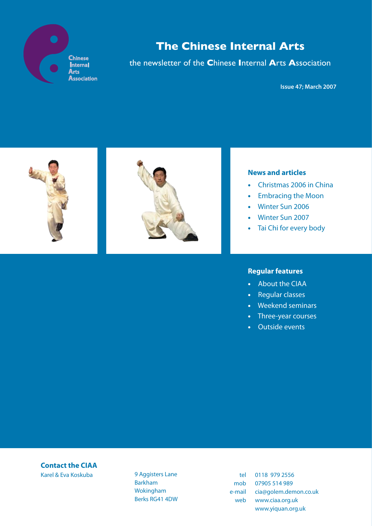

the newsletter of the **C**hinese **I**nternal **A**rts **A**ssociation

**Issue 47; March 2007**



### **News and articles**

- Christmas 2006 in China
- Embracing the Moon
- Winter Sun 2006
- Winter Sun 2007
- Tai Chi for every body

### **Regular features**

- About the CIAA
- Regular classes
- Weekend seminars
- Three-year courses
- Outside events

# **Contact the CIAA**

Karel & Eva Koskuba 9 Aggisters Lane Barkham Wokingham Berks RG41 4DW

tel 0118 979 2556 mob 07905 514 989 e-mail cia@golem.demon.co.uk web www.ciaa.org.uk www.yiquan.org.uk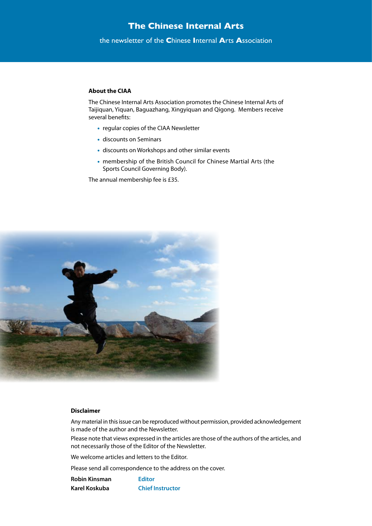the newsletter of the **C**hinese **I**nternal **A**rts **A**ssociation

#### **About the CIAA**

The Chinese Internal Arts Association promotes the Chinese Internal Arts of Taijiquan, Yiquan, Baguazhang, Xingyiquan and Qigong. Members receive several benefits:

- regular copies of the CIAA Newsletter
- discounts on Seminars
- discounts on Workshops and other similar events
- membership of the British Council for Chinese Martial Arts (the Sports Council Governing Body).

The annual membership fee is £35.



#### **Disclaimer**

Any material in this issue can be reproduced without permission, provided acknowledgement is made of the author and the Newsletter.

Please note that views expressed in the articles are those of the authors of the articles, and not necessarily those of the Editor of the Newsletter.

We welcome articles and letters to the Editor.

Please send all correspondence to the address on the cover.

**Robin Kinsman Editor Karel Koskuba Chief Instructor**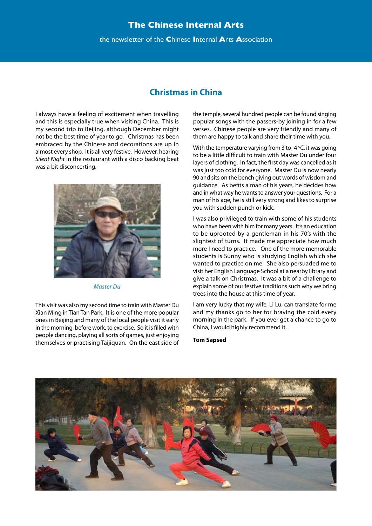#### the newsletter of the **C**hinese **I**nternal **A**rts **A**ssociation

## **Christmas in China**

I always have a feeling of excitement when travelling and this is especially true when visiting China. This is my second trip to Beijing, although December might not be the best time of year to go. Christmas has been embraced by the Chinese and decorations are up in almost every shop. It is all very festive. However, hearing *Silent Night* in the restaurant with a disco backing beat was a bit disconcerting.



*Master Du*

This visit was also my second time to train with Master Du Xian Ming in Tian Tan Park. It is one of the more popular ones in Beijing and many of the local people visit it early in the morning, before work, to exercise. So it is filled with people dancing, playing all sorts of games, just enjoying themselves or practising Taijiquan. On the east side of

the temple, several hundred people can be found singing popular songs with the passers-by joining in for a few verses. Chinese people are very friendly and many of them are happy to talk and share their time with you.

With the temperature varying from 3 to -4  $\degree$ C, it was going to be a little difficult to train with Master Du under four layers of clothing. In fact, the first day was cancelled as it was just too cold for everyone. Master Du is now nearly 90 and sits on the bench giving out words of wisdom and guidance. As befits a man of his years, he decides how and in what way he wants to answer your questions. For a man of his age, he is still very strong and likes to surprise you with sudden punch or kick.

I was also privileged to train with some of his students who have been with him for many years. It's an education to be uprooted by a gentleman in his 70's with the slightest of turns. It made me appreciate how much more I need to practice. One of the more memorable students is Sunny who is studying English which she wanted to practice on me. She also persuaded me to visit her English Language School at a nearby library and give a talk on Christmas. It was a bit of a challenge to explain some of our festive traditions such why we bring trees into the house at this time of year.

I am very lucky that my wife, Li Lu, can translate for me and my thanks go to her for braving the cold every morning in the park. If you ever get a chance to go to China, I would highly recommend it.

#### **Tom Sapsed**

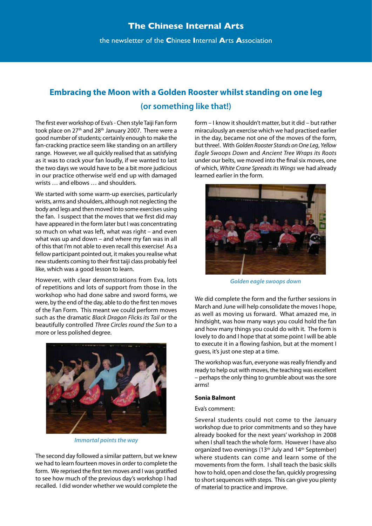the newsletter of the **C**hinese **I**nternal **A**rts **A**ssociation

# **Embracing the Moon with a Golden Rooster whilst standing on one leg (or something like that!)**

The first ever workshop of Eva's - Chen style Taiji Fan form took place on 27<sup>th</sup> and 28<sup>th</sup> January 2007. There were a good number of students; certainly enough to make the fan-cracking practice seem like standing on an artillery range. However, we all quickly realised that as satisfying as it was to crack your fan loudly, if we wanted to last the two days we would have to be a bit more judicious in our practice otherwise we'd end up with damaged wrists … and elbows … and shoulders.

We started with some warm-up exercises, particularly wrists, arms and shoulders, although not neglecting the body and legs and then moved into some exercises using the fan. I suspect that the moves that we first did may have appeared in the form later but I was concentrating so much on what was left, what was right – and even what was up and down – and where my fan was in all of this that I'm not able to even recall this exercise! As a fellow participant pointed out, it makes you realise what new students coming to their first taiji class probably feel like, which was a good lesson to learn.

However, with clear demonstrations from Eva, lots of repetitions and lots of support from those in the workshop who had done sabre and sword forms, we were, by the end of the day, able to do the first ten moves of the Fan Form. This meant we could perform moves such as the dramatic *Black Dragon Flicks its Tail* or the beautifully controlled *Three Circles round the Sun* to a more or less polished degree.



*Immortal points the way*

The second day followed a similar pattern, but we knew we had to learn fourteen moves in order to complete the form. We reprised the first ten moves and I was gratified to see how much of the previous day's workshop I had recalled. I did wonder whether we would complete the

form – I know it shouldn't matter, but it did – but rather miraculously an exercise which we had practised earlier in the day, became not one of the moves of the form, but three!. With *Golden Rooster Stands on One Leg*, *Yellow Eagle Swoops Down* and *Ancient Tree Wraps its Roots* under our belts, we moved into the final six moves, one of which, *White Crane Spreads its Wings* we had already learned earlier in the form.



*Golden eagle swoops down*

We did complete the form and the further sessions in March and June will help consolidate the moves I hope, as well as moving us forward. What amazed me, in hindsight, was how many ways you could hold the fan and how many things you could do with it. The form is lovely to do and I hope that at some point I will be able to execute it in a flowing fashion, but at the moment I guess, it's just one step at a time.

The workshop was fun, everyone was really friendly and ready to help out with moves, the teaching was excellent – perhaps the only thing to grumble about was the sore arms!

#### **Sonia Balmont**

#### Eva's comment:

Several students could not come to the January workshop due to prior commitments and so they have already booked for the next years' workshop in 2008 when I shall teach the whole form. However I have also organized two evenings (13<sup>th</sup> July and 14<sup>th</sup> September) where students can come and learn some of the movements from the form. I shall teach the basic skills how to hold, open and close the fan, quickly progressing to short sequences with steps. This can give you plenty of material to practice and improve.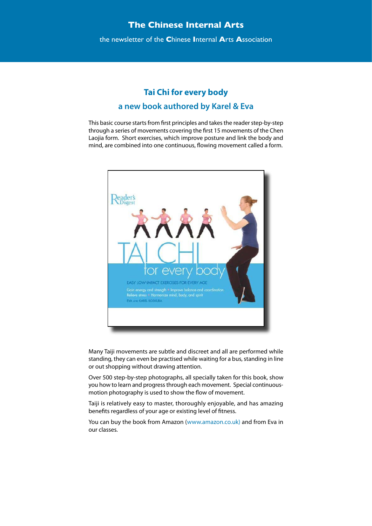the newsletter of the **C**hinese **I**nternal **A**rts **A**ssociation

# **Tai Chi for every body a new book authored by Karel & Eva**

This basic course starts from first principles and takes the reader step-by-step through a series of movements covering the first 15 movements of the Chen Laojia form. Short exercises, which improve posture and link the body and mind, are combined into one continuous, flowing movement called a form.



Many Taiji movements are subtle and discreet and all are performed while standing, they can even be practised while waiting for a bus, standing in line or out shopping without drawing attention.

Over 500 step-by-step photographs, all specially taken for this book, show you how to learn and progress through each movement. Special continuousmotion photography is used to show the flow of movement.

Taiji is relatively easy to master, thoroughly enjoyable, and has amazing benefits regardless of your age or existing level of fitness.

You can buy the book from Amazon (www.amazon.co.uk) and from Eva in our classes.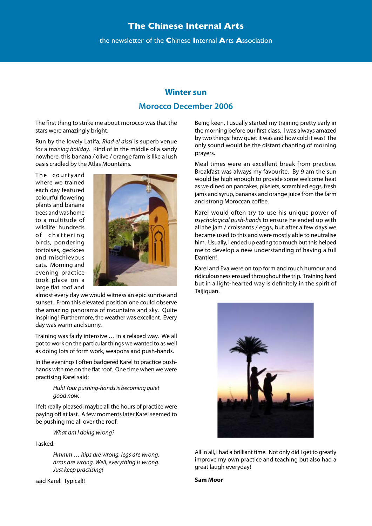the newsletter of the **C**hinese **I**nternal **A**rts **A**ssociation

# **Winter sun Morocco December 2006**

The first thing to strike me about morocco was that the stars were amazingly bright.

Run by the lovely Latifa, *Riad el aissi* is superb venue for a *training holiday*. Kind of in the middle of a sandy nowhere, this banana / olive / orange farm is like a lush oasis cradled by the Atlas Mountains.

The courtvard where we trained each day featured colourful flowering plants and banana trees and was home to a multitude of wildlife: hundreds of chattering birds, pondering tortoises, geckoes and mischievous cats. Morning and evening practice took place on a large flat roof and



almost every day we would witness an epic sunrise and sunset. From this elevated position one could observe the amazing panorama of mountains and sky. Quite inspiring! Furthermore, the weather was excellent. Every day was warm and sunny.

Training was fairly intensive … in a relaxed way. We all got to work on the particular things we wanted to as well as doing lots of form work, weapons and push-hands.

In the evenings I often badgered Karel to practice pushhands with me on the flat roof. One time when we were practising Karel said:

#### *Huh! Your pushing-hands is becoming quiet good now.*

I felt really pleased; maybe all the hours of practice were paying off at last. A few moments later Karel seemed to be pushing me all over the roof.

*What am I doing wrong?*

I asked.

*Hmmm … hips are wrong, legs are wrong, arms are wrong. Well, everything is wrong. Just keep practising!* 

said Karel. Typical!!

Being keen, I usually started my training pretty early in the morning before our first class. I was always amazed by two things: how quiet it was and how cold it was! The only sound would be the distant chanting of morning prayers.

Meal times were an excellent break from practice. Breakfast was always my favourite. By 9 am the sun would be high enough to provide some welcome heat as we dined on pancakes, pikelets, scrambled eggs, fresh jams and syrup, bananas and orange juice from the farm and strong Moroccan coffee.

Karel would often try to use his unique power of *psychological push-hands* to ensure he ended up with all the jam / croissants / eggs, but after a few days we became used to this and were mostly able to neutralise him. Usually, I ended up eating too much but this helped me to develop a new understanding of having a full Dantien!

Karel and Eva were on top form and much humour and ridiculousness ensued throughout the trip. Training hard but in a light-hearted way is definitely in the spirit of Taijiquan.



All in all, I had a brilliant time. Not only did I get to greatly improve my own practice and teaching but also had a great laugh everyday!

**Sam Moor**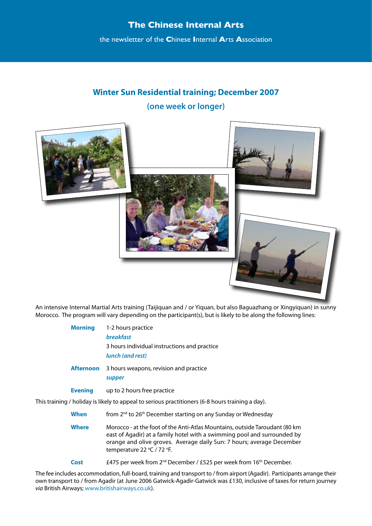the newsletter of the **C**hinese **I**nternal **A**rts **A**ssociation

# **Winter Sun Residential training; December 2007 (one week or longer)**



An intensive Internal Martial Arts training (Taijiquan and / or Yiquan, but also Baguazhang or Xingyiquan) in sunny Morocco. The program will vary depending on the participant(s), but is likely to be along the following lines:

| <b>Morning</b>                                                                     | 1-2 hours practice<br><b>breakfast</b><br>3 hours individual instructions and practice<br>lunch (and rest) |  |
|------------------------------------------------------------------------------------|------------------------------------------------------------------------------------------------------------|--|
| <b>Afternoon</b>                                                                   | 3 hours weapons, revision and practice<br>supper                                                           |  |
| <b>Evening</b>                                                                     | up to 2 hours free practice                                                                                |  |
| / holiday is likely to appeal to serious practitioners (6-8 hours training a day). |                                                                                                            |  |
| <b>When</b>                                                                        | from 2 <sup>nd</sup> to 26 <sup>th</sup> December starting on any Sunday or Wednesday                      |  |

This training

**Where** Morocco - at the foot of the Anti-Atlas Mountains, outside Taroudant (80 km east of Agadir) at a family hotel with a swimming pool and surrounded by orange and olive groves. Average daily Sun: 7 hours; average December temperature 22 °C / 72 °F.

**Cost** £475 per week from 2nd December / £525 per week from 16th December.

The fee includes accommodation, full-board, training and transport to / from airport (Agadir). Participants arrange their own transport to / from Agadir (at June 2006 Gatwick-Agadir-Gatwick was £130, inclusive of taxes for return journey *via* British Airways; www.britishairways.co.uk).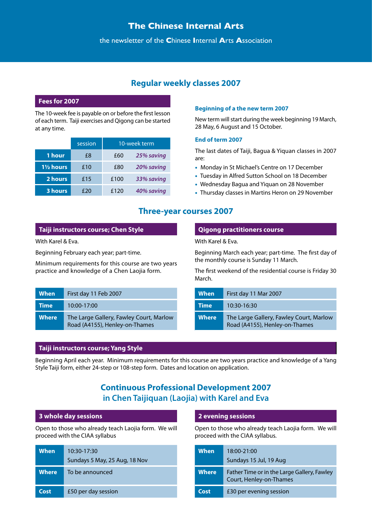### the newsletter of the **C**hinese **I**nternal **A**rts **A**ssociation

# **Regular weekly classes 2007**

#### **Fees for 2007**

The 10-week fee is payable on or before the first lesson of each term. Taiji exercises and Qigong can be started at any time.

|                      | session |      | 10-week term |
|----------------------|---------|------|--------------|
| 1 hour               | £8      | £60  | 25% saving   |
| $1\frac{1}{2}$ hours | £10     | £80  | 20% saving   |
| 2 hours              | £15     | £100 | 33% saving   |
| 3 hours              | £20     | £120 | 40% saving   |

#### **Beginning of a the new term 2007**

New term will start during the week beginning 19 March, 28 May, 6 August and 15 October.

#### **End of term 2007**

The last dates of Taiji, Bagua & Yiquan classes in 2007 are:

- Monday in St Michael's Centre on 17 December
- Tuesday in Alfred Sutton School on 18 December
- Wednesday Bagua and Yiquan on 28 November
- Thursday classes in Martins Heron on 29 November

### **Three-year courses 2007**

### **Taiji instructors course; Chen Style**

With Karel & Eva.

Beginning February each year; part-time.

Minimum requirements for this course are two years practice and knowledge of a Chen Laojia form.

| <b>When</b>  | First day 11 Feb 2007                                                     |
|--------------|---------------------------------------------------------------------------|
| <b>Time</b>  | 10:00-17:00                                                               |
| <b>Where</b> | The Large Gallery, Fawley Court, Marlow<br>Road (A4155), Henley-on-Thames |

### **Qigong practitioners course**

With Karel & Eva.

Beginning March each year; part-time. The first day of the monthly course is Sunday 11 March.

The first weekend of the residential course is Friday 30 March.

| When         | First day 11 Mar 2007                                                     |
|--------------|---------------------------------------------------------------------------|
| <b>Time</b>  | 10:30-16:30                                                               |
| <b>Where</b> | The Large Gallery, Fawley Court, Marlow<br>Road (A4155), Henley-on-Thames |

### **Taiji instructors course; Yang Style**

Beginning April each year. Minimum requirements for this course are two years practice and knowledge of a Yang Style Taiji form, either 24-step or 108-step form. Dates and location on application.

# **Continuous Professional Development 2007 in Chen Taijiquan (Laojia) with Karel and Eva**

#### **3 whole day sessions**

Open to those who already teach Laojia form. We will proceed with the CIAA syllabus

| When         | 10:30-17:30<br>Sundays 5 May, 25 Aug, 18 Nov |
|--------------|----------------------------------------------|
| <b>Where</b> | To be announced                              |
| Cost         | £50 per day session                          |

#### **2 evening sessions**

Open to those who already teach Laojia form. We will proceed with the CIAA syllabus.

| When         | 18:00-21:00                                                            |
|--------------|------------------------------------------------------------------------|
|              | Sundays 15 Jul, 19 Aug                                                 |
| <b>Where</b> | Father Time or in the Large Gallery, Fawley<br>Court, Henley-on-Thames |
| Cost         | £30 per evening session                                                |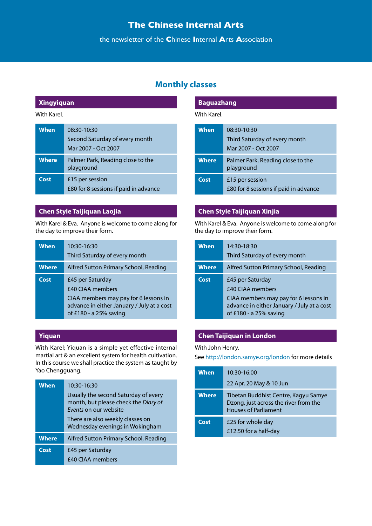the newsletter of the **C**hinese **I**nternal **A**rts **A**ssociation

# **Monthly classes**

### **Xingyiquan**

### With Karel.

| <b>When</b>  | 08:30-10:30<br>Second Saturday of every month<br>Mar 2007 - Oct 2007 |
|--------------|----------------------------------------------------------------------|
| <b>Where</b> | Palmer Park, Reading close to the<br>playground                      |
| Cost         | £15 per session<br>£80 for 8 sessions if paid in advance             |

### **Chen Style Taijiquan Laojia**

With Karel & Eva. Anyone is welcome to come along for the day to improve their form.

| <b>When</b>  | 10:30-16:30<br>Third Saturday of every month                                                                                                                 |
|--------------|--------------------------------------------------------------------------------------------------------------------------------------------------------------|
| <b>Where</b> | Alfred Sutton Primary School, Reading                                                                                                                        |
| Cost         | £45 per Saturday<br><b>£40 CIAA members</b><br>CIAA members may pay for 6 lessons in<br>advance in either January / July at a cost<br>of £180 - a 25% saving |

### **Yiquan**

With Karel; Yiquan is a simple yet effective internal martial art & an excellent system for health cultivation. In this course we shall practice the system as taught by Yao Chengguang.

| <b>When</b>  | 10:30-16:30<br>Usually the second Saturday of every<br>month, but please check the Diary of<br>Events on our website<br>There are also weekly classes on<br>Wednesday evenings in Wokingham |
|--------------|---------------------------------------------------------------------------------------------------------------------------------------------------------------------------------------------|
| <b>Where</b> | Alfred Sutton Primary School, Reading                                                                                                                                                       |
| Cost         | £45 per Saturday<br><b>£40 CIAA members</b>                                                                                                                                                 |

| Baguazhang |  |  |
|------------|--|--|
|            |  |  |

#### With Karel.

| <b>When</b>  | 08:30-10:30<br>Third Saturday of every month<br>Mar 2007 - Oct 2007 |
|--------------|---------------------------------------------------------------------|
| <b>Where</b> | Palmer Park, Reading close to the<br>playground                     |
| Cost         | £15 per session<br>£80 for 8 sessions if paid in advance            |

### **Chen Style Taijiquan Xinjia**

With Karel & Eva. Anyone is welcome to come along for the day to improve their form.

| <b>When</b>  | 14:30-18:30<br>Third Saturday of every month                                                                                                                 |
|--------------|--------------------------------------------------------------------------------------------------------------------------------------------------------------|
| <b>Where</b> | Alfred Sutton Primary School, Reading                                                                                                                        |
| Cost         | £45 per Saturday<br><b>£40 CIAA members</b><br>CIAA members may pay for 6 lessons in<br>advance in either January / July at a cost<br>of £180 - a 25% saving |

# **Chen Taijiquan in London**

#### With John Henry.

See http://london.samye.org/london for more details

| <b>When</b>  | 10:30-16:00                                                                                                  |
|--------------|--------------------------------------------------------------------------------------------------------------|
|              | 22 Apr, 20 May & 10 Jun                                                                                      |
| <b>Where</b> | Tibetan Buddhist Centre, Kagyu Samye<br>Dzong, just across the river from the<br><b>Houses of Parliament</b> |
| Cost         | £25 for whole day<br>£12.50 for a half-day                                                                   |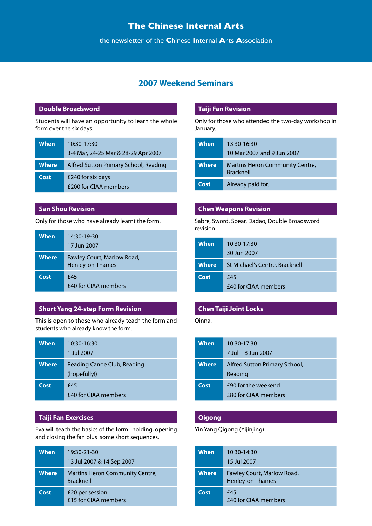the newsletter of the **C**hinese **I**nternal **A**rts **A**ssociation

# **2007 Weekend Seminars**

#### **Double Broadsword**

Students will have an opportunity to learn the whole form over the six days.

| When         | $10:30-17:30$<br>3-4 Mar, 24-25 Mar & 28-29 Apr 2007 |
|--------------|------------------------------------------------------|
|              |                                                      |
| <b>Where</b> | Alfred Sutton Primary School, Reading                |
| Cost         | £240 for six days<br>£200 for CIAA members           |

#### **San Shou Revision**

Only for those who have already learnt the form.

| <b>When</b>  | 14:30-19-30<br>17 Jun 2007                     |
|--------------|------------------------------------------------|
| <b>Where</b> | Fawley Court, Marlow Road,<br>Henley-on-Thames |
| Cost         | f45<br><b>£40 for CIAA members</b>             |

#### **Short Yang 24-step Form Revision**

This is open to those who already teach the form and students who already know the form.

| <b>When</b>  | 10:30-16:30<br>1 Jul 2007                   |
|--------------|---------------------------------------------|
| <b>Where</b> | Reading Canoe Club, Reading<br>(hopefully!) |
| Cost         | £45<br><b>£40 for CIAA members</b>          |

#### **Taiji Fan Exercises**

Eva will teach the basics of the form: holding, opening and closing the fan plus some short sequences.

| <b>When</b>  | 19:30-21-30<br>13 Jul 2007 & 14 Sep 2007                   |
|--------------|------------------------------------------------------------|
| <b>Where</b> | <b>Martins Heron Community Centre,</b><br><b>Bracknell</b> |
| Cost         | £20 per session<br>£15 for CIAA members                    |

#### **Taiji Fan Revision**

Only for those who attended the two-day workshop in January.

| <b>When</b>  | 13:30-16:30<br>10 Mar 2007 and 9 Jun 2007                  |
|--------------|------------------------------------------------------------|
| <b>Where</b> | <b>Martins Heron Community Centre,</b><br><b>Bracknell</b> |
| Cost         | Already paid for.                                          |

#### **Chen Weapons Revision**

Sabre, Sword, Spear, Dadao, Double Broadsword revision.

| When         | 10:30-17:30<br>30 Jun 2007     |
|--------------|--------------------------------|
|              |                                |
| <b>Where</b> | St Michael's Centre, Bracknell |
| Cost         | f45<br>£40 for CIAA members    |

### **Chen Taiji Joint Locks**

Qinna.

| <b>When</b>  | 10:30-17:30<br>7 Jul - 8 Jun 2007                  |
|--------------|----------------------------------------------------|
| <b>Where</b> | Alfred Sutton Primary School,<br>Reading           |
| Cost         | £90 for the weekend<br><b>£80 for CIAA members</b> |

#### **Qigong**

Yin Yang Qigong (Yijinjing).

| <b>When</b>  | 10:30-14:30<br>15 Jul 2007                     |
|--------------|------------------------------------------------|
| <b>Where</b> | Fawley Court, Marlow Road,<br>Henley-on-Thames |
| Cost         | £45<br>£40 for CIAA members                    |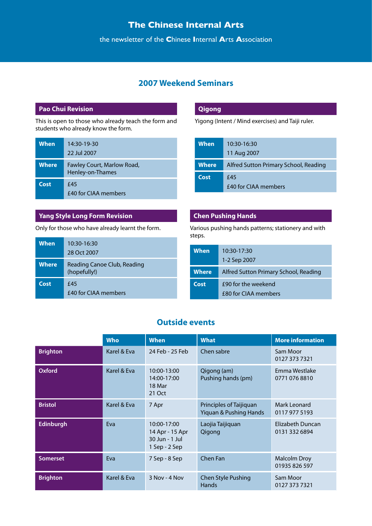the newsletter of the **C**hinese **I**nternal **A**rts **A**ssociation

# **2007 Weekend Seminars**

### **Pao Chui Revision**

This is open to those who already teach the form and students who already know the form.

| <b>When</b>  | 14:30-19-30<br>22 Jul 2007                     |
|--------------|------------------------------------------------|
| <b>Where</b> | Fawley Court, Marlow Road,<br>Henley-on-Thames |
| Cost         | f45<br><b>£40 for CIAA members</b>             |

### **Yang Style Long Form Revision**

Only for those who have already learnt the form.

| <b>When</b>  | 10:30-16:30<br>28 Oct 2007                  |
|--------------|---------------------------------------------|
| <b>Where</b> | Reading Canoe Club, Reading<br>(hopefully!) |
| Cost         | £45<br>£40 for CIAA members                 |

### **Qigong**

Yigong (Intent / Mind exercises) and Taiji ruler.

| When  | $10:30-16:30$<br>11 Aug 2007          |
|-------|---------------------------------------|
| Where | Alfred Sutton Primary School, Reading |
| Cost  | £45<br><b>£40 for CIAA members</b>    |

### **Chen Pushing Hands**

Various pushing hands patterns; stationery and with steps.

| <b>When</b>  | $10:30-17:30$<br>1-2 Sep 2007               |
|--------------|---------------------------------------------|
| <b>Where</b> | Alfred Sutton Primary School, Reading       |
| Cost         | £90 for the weekend<br>£80 for CIAA members |

### **Outside events**

|                 | <b>Who</b>  | <b>When</b>                                                       | <b>What</b>                                       | <b>More information</b>           |
|-----------------|-------------|-------------------------------------------------------------------|---------------------------------------------------|-----------------------------------|
| <b>Brighton</b> | Karel & Eva | 24 Feb - 25 Feb                                                   | Chen sabre                                        | Sam Moor<br>0127 373 7321         |
| <b>Oxford</b>   | Karel & Eva | 10:00-13:00<br>14:00-17:00<br>18 Mar<br>21 Oct                    | Qigong (am)<br>Pushing hands (pm)                 | Emma Westlake<br>0771 076 8810    |
| <b>Bristol</b>  | Karel & Eva | 7 Apr                                                             | Principles of Taijiquan<br>Yiquan & Pushing Hands | Mark Leonard<br>0117 977 5193     |
| Edinburgh       | Eva         | 10:00-17:00<br>14 Apr - 15 Apr<br>30 Jun - 1 Jul<br>1 Sep - 2 Sep | Laojia Taijiquan<br>Qigong                        | Elizabeth Duncan<br>0131 332 6894 |
| <b>Somerset</b> | Eva         | 7 Sep - 8 Sep                                                     | Chen Fan                                          | Malcolm Droy<br>01935 826 597     |
| <b>Brighton</b> | Karel & Eva | 3 Nov - 4 Nov                                                     | <b>Chen Style Pushing</b><br>Hands                | Sam Moor<br>0127 373 7321         |